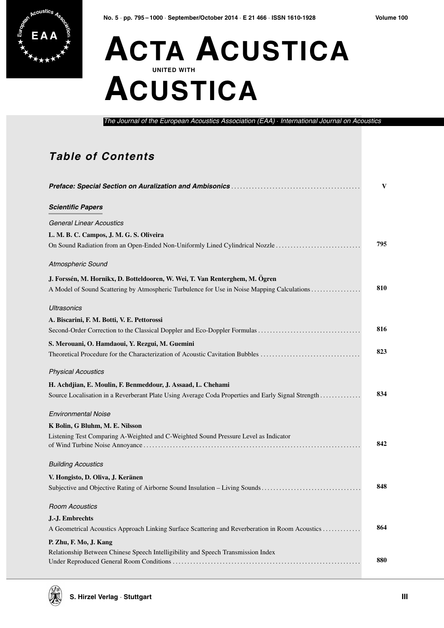

## **E A A ACTA ACUSTICA UNITED WITH ACUSTICA**

*The Journal of the European Acoustics Association (EAA)* · *International Journal on Acoustics*

## **Table of Contents**

|                                                                                                    | V   |
|----------------------------------------------------------------------------------------------------|-----|
| <b>Scientific Papers</b>                                                                           |     |
| <b>General Linear Acoustics</b>                                                                    |     |
| L. M. B. C. Campos, J. M. G. S. Oliveira                                                           |     |
| On Sound Radiation from an Open-Ended Non-Uniformly Lined Cylindrical Nozzle                       | 795 |
| Atmospheric Sound                                                                                  |     |
| J. Forssén, M. Hornikx, D. Botteldooren, W. Wei, T. Van Renterghem, M. Ögren                       |     |
| A Model of Sound Scattering by Atmospheric Turbulence for Use in Noise Mapping Calculations        | 810 |
| <b>Ultrasonics</b>                                                                                 |     |
| A. Biscarini, F. M. Botti, V. E. Pettorossi                                                        |     |
| Second-Order Correction to the Classical Doppler and Eco-Doppler Formulas                          | 816 |
| S. Merouani, O. Hamdaoui, Y. Rezgui, M. Guemini                                                    |     |
| Theoretical Procedure for the Characterization of Acoustic Cavitation Bubbles                      | 823 |
| <b>Physical Acoustics</b>                                                                          |     |
| H. Achdjian, E. Moulin, F. Benmeddour, J. Assaad, L. Chehami                                       |     |
| Source Localisation in a Reverberant Plate Using Average Coda Properties and Early Signal Strength | 834 |
| <b>Environmental Noise</b>                                                                         |     |
| K Bolin, G Bluhm, M. E. Nilsson                                                                    |     |
| Listening Test Comparing A-Weighted and C-Weighted Sound Pressure Level as Indicator               |     |
|                                                                                                    | 842 |
| <b>Building Acoustics</b>                                                                          |     |
| V. Hongisto, D. Oliva, J. Keränen                                                                  |     |
| Subjective and Objective Rating of Airborne Sound Insulation - Living Sounds                       | 848 |
| <b>Room Acoustics</b>                                                                              |     |
| J.-J. Embrechts                                                                                    |     |
| A Geometrical Acoustics Approach Linking Surface Scattering and Reverberation in Room Acoustics    | 864 |
| P. Zhu, F. Mo, J. Kang                                                                             |     |
| Relationship Between Chinese Speech Intelligibility and Speech Transmission Index                  |     |
|                                                                                                    | 880 |